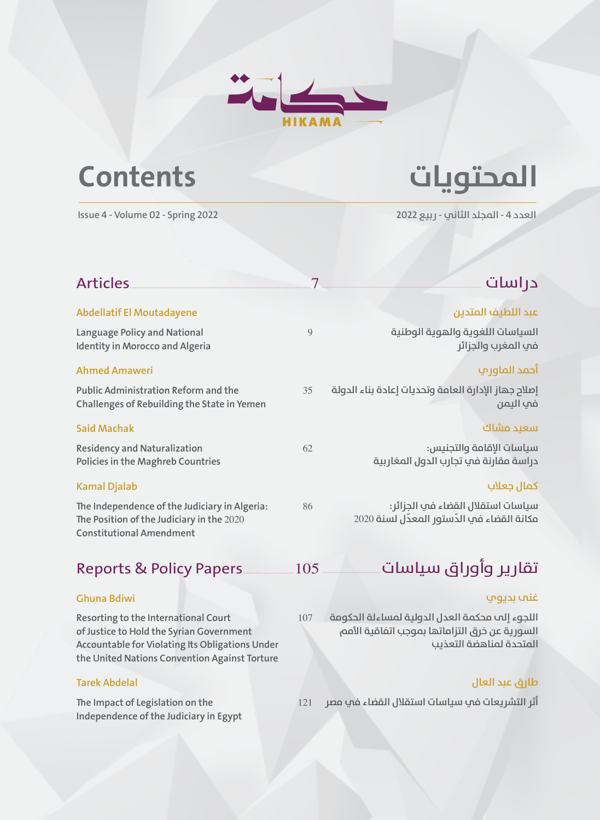

# **املحتويات Contents**

**العدد 4 - املجلد الثاين - ربيع 2022 2022 Spring - 02 Volume - 4 Issue**

| <b>Articles</b><br><b>Abdellatif El Moutadayene</b><br>Language Policy and National<br>9<br><b>Identity in Morocco and Algeria</b><br><b>Ahmed Amaweri</b><br><b>Public Administration Reform and the</b><br>35<br>Challenges of Rebuilding the State in Yemen<br><b>Said Machak</b><br><b>Residency and Naturalization</b><br>62<br>Policies in the Maghreb Countries<br><b>Kamal Djalab</b><br>The Independence of the Judiciary in Algeria:<br>86<br>The Position of the Judiciary in the 2020<br><b>Constitutional Amendment</b> |  |                                                                                 |
|--------------------------------------------------------------------------------------------------------------------------------------------------------------------------------------------------------------------------------------------------------------------------------------------------------------------------------------------------------------------------------------------------------------------------------------------------------------------------------------------------------------------------------------|--|---------------------------------------------------------------------------------|
|                                                                                                                                                                                                                                                                                                                                                                                                                                                                                                                                      |  | دراسات                                                                          |
|                                                                                                                                                                                                                                                                                                                                                                                                                                                                                                                                      |  | عبد اللطيف المتدين                                                              |
|                                                                                                                                                                                                                                                                                                                                                                                                                                                                                                                                      |  | السياسات اللغوية والهوية الوطنية<br>في المغرب والجزائر                          |
|                                                                                                                                                                                                                                                                                                                                                                                                                                                                                                                                      |  | أحمد الماوري                                                                    |
|                                                                                                                                                                                                                                                                                                                                                                                                                                                                                                                                      |  | إصلاح جهاز الإدارة العامة وتحديات إعادة بناء الدولة<br>فت التمن                 |
|                                                                                                                                                                                                                                                                                                                                                                                                                                                                                                                                      |  | سعيد مشاك                                                                       |
|                                                                                                                                                                                                                                                                                                                                                                                                                                                                                                                                      |  | سياسات الإقامة والتجنيس:<br>دراسة مقارنة في تجارب الدول المغاربية               |
|                                                                                                                                                                                                                                                                                                                                                                                                                                                                                                                                      |  | كمال جعلاب                                                                      |
|                                                                                                                                                                                                                                                                                                                                                                                                                                                                                                                                      |  | سياسات استقلال القضاء في الجزائر:<br>مكانة القضاء في الدّستور المعدّل لسنة 2020 |

تقارير وأوراق سياسات Reports & Policy Papers..............................105

### **Ghuna Bdiwi**

**Resorting to the International Court** 107 **of Justice to Hold the Syrian Government Accountable for Violating Its Obligations Under the United Nations Convention Against Torture**

## **Tarek Abdelal**

**The Impact of Legislation on the** 121 **Independence of the Judiciary in Egypt**

### **غنى بديوي**

**اللجوء إىل محكمة العدل الدولية ملساءلة الحكومة السورية عن خرق التزاماتها مبوجب اتفاقية األمم املتحدة ملناهضة التعذيب**

# **طارق عبد العال**

**أثر الترشيعات يف سياسات استقالل القضاء يف مرص**